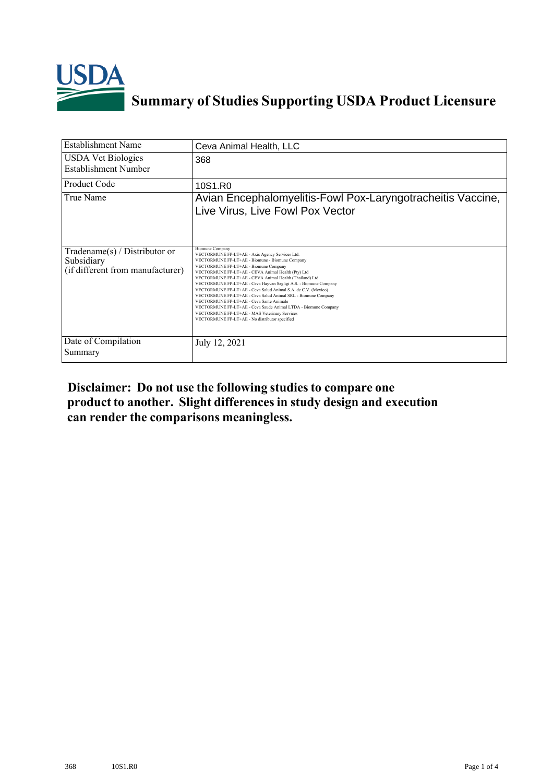

## **Summary of Studies Supporting USDA Product Licensure**

| <b>Establishment Name</b>                                                         | Ceva Animal Health, LLC                                                                                                                                                                                                                                                                                                                                                                                                                                                                                                                                                                                                                                                                                       |
|-----------------------------------------------------------------------------------|---------------------------------------------------------------------------------------------------------------------------------------------------------------------------------------------------------------------------------------------------------------------------------------------------------------------------------------------------------------------------------------------------------------------------------------------------------------------------------------------------------------------------------------------------------------------------------------------------------------------------------------------------------------------------------------------------------------|
| <b>USDA Vet Biologics</b><br>Establishment Number                                 | 368                                                                                                                                                                                                                                                                                                                                                                                                                                                                                                                                                                                                                                                                                                           |
| <b>Product Code</b>                                                               | 10S1.R0                                                                                                                                                                                                                                                                                                                                                                                                                                                                                                                                                                                                                                                                                                       |
| True Name                                                                         | Avian Encephalomyelitis-Fowl Pox-Laryngotracheitis Vaccine,<br>Live Virus, Live Fowl Pox Vector                                                                                                                                                                                                                                                                                                                                                                                                                                                                                                                                                                                                               |
| $Tradename(s) / Distributor$ or<br>Subsidiary<br>(if different from manufacturer) | <b>Biomune Company</b><br>VECTORMUNE FP-LT+AE - Axis Agency Services Ltd.<br>VECTORMUNE FP-LT+AE - Biomune - Biomune Company<br>VECTORMUNE FP-LT+AE - Biomune Company<br>VECTORMUNE FP-LT+AE - CEVA Animal Health (Pty) Ltd<br>VECTORMUNE FP-LT+AE - CEVA Animal Health (Thailand) Ltd<br>VECTORMUNE FP-LT+AE - Ceva Hayvan Sagligi A.S. - Biomune Company<br>VECTORMUNE FP-LT+AE - Ceva Salud Animal S.A. de C.V. (Mexico)<br>VECTORMUNE FP-LT+AE - Ceva Salud Animal SRL - Biomune Company<br>VECTORMUNE FP-LT+AE - Ceva Sante Animale<br>VECTORMUNE FP-LT+AE - Ceva Saude Animal LTDA - Biomune Company<br>VECTORMUNE FP-LT+AE - MAS Veterinary Services<br>VECTORMUNE FP-LT+AE - No distributor specified |
| Date of Compilation<br>Summary                                                    | July 12, 2021                                                                                                                                                                                                                                                                                                                                                                                                                                                                                                                                                                                                                                                                                                 |

## **Disclaimer: Do not use the following studiesto compare one product to another. Slight differencesin study design and execution can render the comparisons meaningless.**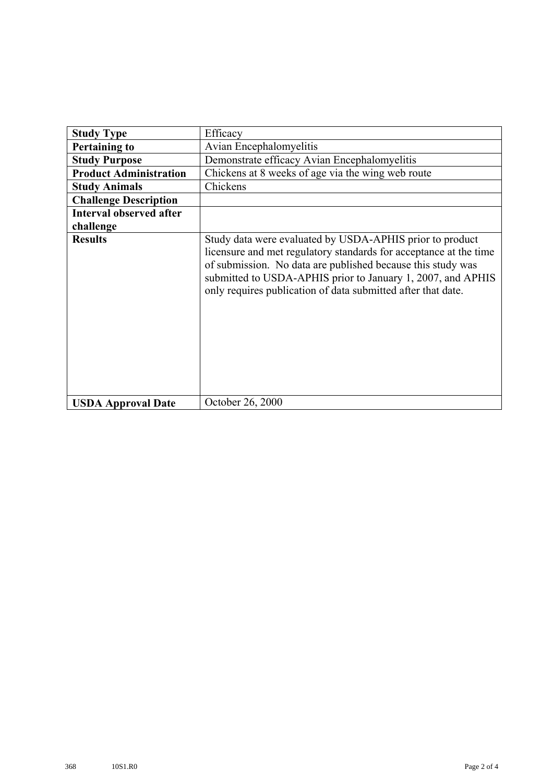| <b>Study Type</b>              | Efficacy                                                                                                                                                                                                                                                                                                                    |
|--------------------------------|-----------------------------------------------------------------------------------------------------------------------------------------------------------------------------------------------------------------------------------------------------------------------------------------------------------------------------|
| <b>Pertaining to</b>           | Avian Encephalomyelitis                                                                                                                                                                                                                                                                                                     |
| <b>Study Purpose</b>           | Demonstrate efficacy Avian Encephalomyelitis                                                                                                                                                                                                                                                                                |
| <b>Product Administration</b>  | Chickens at 8 weeks of age via the wing web route                                                                                                                                                                                                                                                                           |
| <b>Study Animals</b>           | Chickens                                                                                                                                                                                                                                                                                                                    |
| <b>Challenge Description</b>   |                                                                                                                                                                                                                                                                                                                             |
| <b>Interval observed after</b> |                                                                                                                                                                                                                                                                                                                             |
| challenge                      |                                                                                                                                                                                                                                                                                                                             |
| <b>Results</b>                 | Study data were evaluated by USDA-APHIS prior to product<br>licensure and met regulatory standards for acceptance at the time<br>of submission. No data are published because this study was<br>submitted to USDA-APHIS prior to January 1, 2007, and APHIS<br>only requires publication of data submitted after that date. |
| <b>USDA Approval Date</b>      | October 26, 2000                                                                                                                                                                                                                                                                                                            |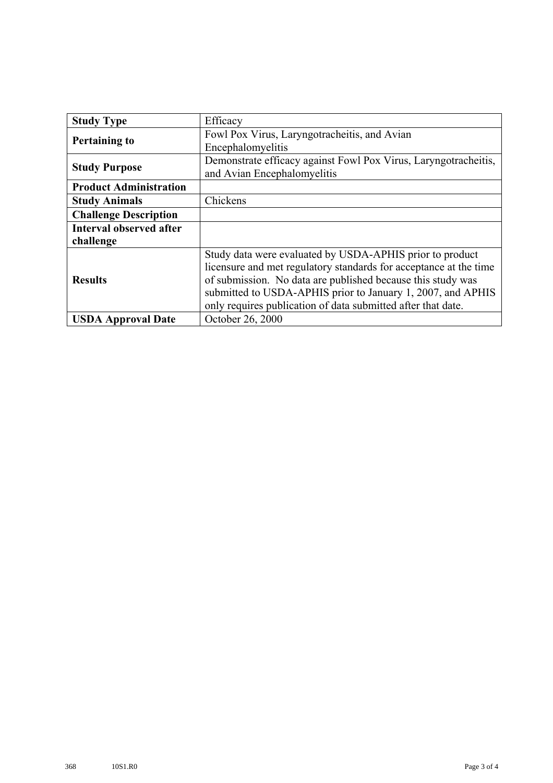| <b>Study Type</b>              | Efficacy                                                          |
|--------------------------------|-------------------------------------------------------------------|
| <b>Pertaining to</b>           | Fowl Pox Virus, Laryngotracheitis, and Avian                      |
|                                | Encephalomyelitis                                                 |
| <b>Study Purpose</b>           | Demonstrate efficacy against Fowl Pox Virus, Laryngotracheitis,   |
|                                | and Avian Encephalomyelitis                                       |
| <b>Product Administration</b>  |                                                                   |
| <b>Study Animals</b>           | Chickens                                                          |
| <b>Challenge Description</b>   |                                                                   |
| <b>Interval observed after</b> |                                                                   |
| challenge                      |                                                                   |
| <b>Results</b>                 | Study data were evaluated by USDA-APHIS prior to product          |
|                                | licensure and met regulatory standards for acceptance at the time |
|                                | of submission. No data are published because this study was       |
|                                | submitted to USDA-APHIS prior to January 1, 2007, and APHIS       |
|                                | only requires publication of data submitted after that date.      |
| <b>USDA Approval Date</b>      | October 26, 2000                                                  |